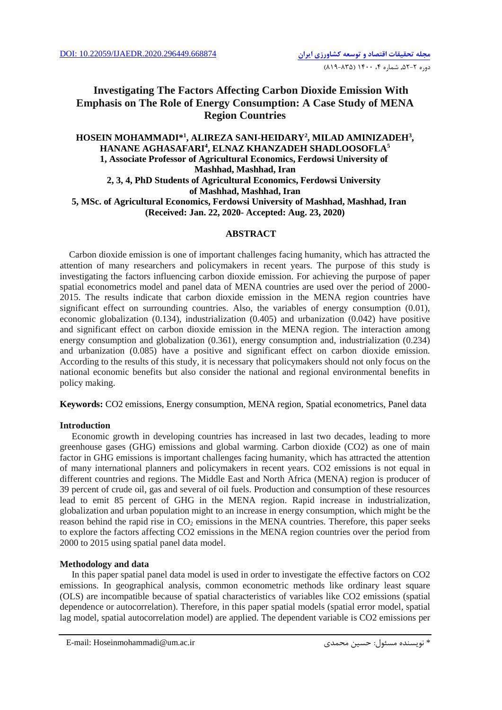# **Investigating The Factors Affecting Carbon Dioxide Emission With Emphasis on The Role of Energy Consumption: A Case Study of MENA Region Countries**

## **HOSEIN MOHAMMADI\* 1 , ALIREZA SANI-HEIDARY<sup>2</sup> , MILAD AMINIZADEH<sup>3</sup> , HANANE AGHASAFARI<sup>4</sup> , ELNAZ KHANZADEH SHADLOOSOFLA<sup>5</sup> 1, Associate Professor of Agricultural Economics, Ferdowsi University of Mashhad, Mashhad, Iran 2, 3, 4, PhD Students of Agricultural Economics, Ferdowsi University of Mashhad, Mashhad, Iran 5, MSc. of Agricultural Economics, Ferdowsi University of Mashhad, Mashhad, Iran (Received: Jan. 22, 2020- Accepted: Aug. 23, 2020)**

## **ABSTRACT**

 Carbon dioxide emission is one of important challenges facing humanity, which has attracted the attention of many researchers and policymakers in recent years. The purpose of this study is investigating the factors influencing carbon dioxide emission. For achieving the purpose of paper spatial econometrics model and panel data of MENA countries are used over the period of 2000- 2015. The results indicate that carbon dioxide emission in the MENA region countries have significant effect on surrounding countries. Also, the variables of energy consumption (0.01), economic globalization (0.134), industrialization (0.405) and urbanization (0.042) have positive and significant effect on carbon dioxide emission in the MENA region. The interaction among energy consumption and globalization (0.361), energy consumption and, industrialization (0.234) and urbanization (0.085) have a positive and significant effect on carbon dioxide emission. According to the results of this study, it is necessary that policymakers should not only focus on the national economic benefits but also consider the national and regional environmental benefits in policy making.

**Keywords:** CO2 emissions, Energy consumption, MENA region, Spatial econometrics, Panel data

## **Introduction**

Economic growth in developing countries has increased in last two decades, leading to more greenhouse gases (GHG) emissions and global warming. Carbon dioxide (CO2) as one of main factor in GHG emissions is important challenges facing humanity, which has attracted the attention of many international planners and policymakers in recent years. CO2 emissions is not equal in different countries and regions. The Middle East and North Africa (MENA) region is producer of 39 percent of crude oil, gas and several of oil fuels. Production and consumption of these resources lead to emit 85 percent of GHG in the MENA region. Rapid increase in industrialization, globalization and urban population might to an increase in energy consumption, which might be the reason behind the rapid rise in  $CO<sub>2</sub>$  emissions in the MENA countries. Therefore, this paper seeks to explore the factors affecting CO2 emissions in the MENA region countries over the period from 2000 to 2015 using spatial panel data model.

## **Methodology and data**

In this paper spatial panel data model is used in order to investigate the effective factors on CO2 emissions. In geographical analysis, common econometric methods like ordinary least square (OLS) are incompatible because of spatial characteristics of variables like CO2 emissions (spatial dependence or autocorrelation). Therefore, in this paper spatial models (spatial error model, spatial lag model, spatial autocorrelation model) are applied. The dependent variable is CO2 emissions per

<sup>\*</sup> نويسنده مسئول: حسين محمدی سین الله محمدی محمدی محمدی حسین محمدی حسین الله الله الله علم الله علم نو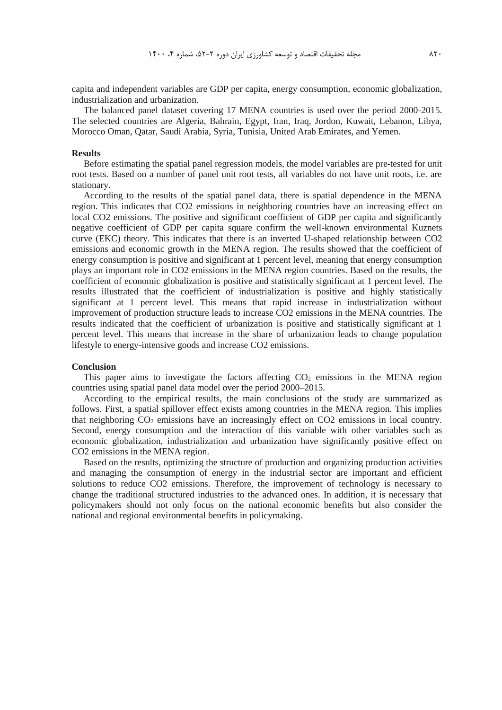capita and independent variables are GDP per capita, energy consumption, economic globalization, industrialization and urbanization.

The balanced panel dataset covering 17 MENA countries is used over the period 2000-2015. The selected countries are Algeria, Bahrain, Egypt, Iran, Iraq, Jordon, Kuwait, Lebanon, Libya, Morocco Oman, Qatar, Saudi Arabia, Syria, Tunisia, United Arab Emirates, and Yemen.

### **Results**

Before estimating the spatial panel regression models, the model variables are pre-tested for unit root tests. Based on a number of panel unit root tests, all variables do not have unit roots, i.e. are stationary.

According to the results of the spatial panel data, there is spatial dependence in the MENA region. This indicates that CO2 emissions in neighboring countries have an increasing effect on local CO2 emissions. The positive and significant coefficient of GDP per capita and significantly negative coefficient of GDP per capita square confirm the well-known environmental Kuznets curve (EKC) theory. This indicates that there is an inverted U-shaped relationship between CO2 emissions and economic growth in the MENA region. The results showed that the coefficient of energy consumption is positive and significant at 1 percent level, meaning that energy consumption plays an important role in CO2 emissions in the MENA region countries. Based on the results, the coefficient of economic globalization is positive and statistically significant at 1 percent level. The results illustrated that the coefficient of industrialization is positive and highly statistically significant at 1 percent level. This means that rapid increase in industrialization without improvement of production structure leads to increase CO2 emissions in the MENA countries. The results indicated that the coefficient of urbanization is positive and statistically significant at 1 percent level. This means that increase in the share of urbanization leads to change population lifestyle to energy-intensive goods and increase CO2 emissions.

### **Conclusion**

This paper aims to investigate the factors affecting  $CO<sub>2</sub>$  emissions in the MENA region countries using spatial panel data model over the period 2000–2015.

According to the empirical results, the main conclusions of the study are summarized as follows. First, a spatial spillover effect exists among countries in the MENA region. This implies that neighboring  $CO<sub>2</sub>$  emissions have an increasingly effect on  $CO<sub>2</sub>$  emissions in local country. Second, energy consumption and the interaction of this variable with other variables such as economic globalization, industrialization and urbanization have significantly positive effect on CO2 emissions in the MENA region.

Based on the results, optimizing the structure of production and organizing production activities and managing the consumption of energy in the industrial sector are important and efficient solutions to reduce CO2 emissions. Therefore, the improvement of technology is necessary to change the traditional structured industries to the advanced ones. In addition, it is necessary that policymakers should not only focus on the national economic benefits but also consider the national and regional environmental benefits in policymaking.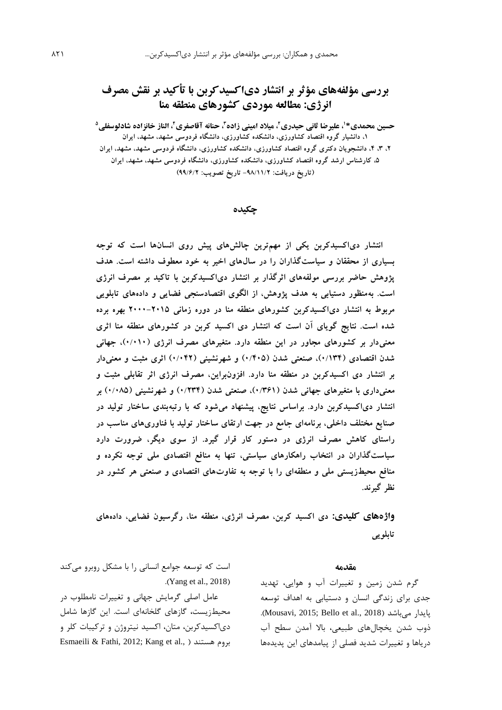# **بررسی مؤلفههای مؤثر بر انتشار دیاکسیدکربن با تأکید بر نقش مصرف انرژی: مطالعه موردی کشورهای منطقه منا**

حسین محمدی\*'، علیرضا ثانی حیدری<sup>۲</sup>، میلاد امینی زاده<sup>۳</sup>، حنانه آقاصفری<sup>۲</sup>، الناز خانزاده شادلوسفلی<sup>۵</sup> **،1 دانشیار گروه اقتصاد کشاورزی، دانشکده کشاورزی، دانشگاه فردوسی مشهد، مشهد، ایران ،2 ،3 ،4 دانشجویان دکتری گروه اقتصاد کشاورزی، دانشکده کشاورزی، دانشگاه فردوسی مشهد، مشهد، ایران ،5 کارشناس ارشد گروه اقتصاد کشاورزی، دانشکده کشاورزی، دانشگاه فردوسی مشهد، مشهد، ایران )تاریخ دریافت: -98/11/2 تاریخ تصویب: 99/6/2(**

## **چكیده**

**انتشار دیاکسیدکربن یکی از مهمترین چالشهای پیش روی انسانها است که توجه بسیاری از محققان و سیاستگذاران را در سالهای اخیر به خود معطوف داشته است. هدف پژوهش حاضر بررسی مولفههای اثرگذار بر انتشار دیاکسیدکربن با تاکید بر مصرف انرژی است. بهمنظور دستیابی به هدف پژوهش، از الگوی اقتصادسنجی فضایی و دادههای تابلویی مربوط به انتشار دیاکسیدکربن کشورهای منطقه منا در دوره زمانی 2000-2015 بهره برده شده است. نتایج گویای آن است که انتشار دی اکسید کربن در کشورهای منطقه منا اثری معنیدار بر کشورهای مجاور در این منطقه دارد. متغیرهای مصرف انرژی )0/010(، جهانی شدن اقتصادی )0/134(، صنعتی شدن )0/405( و شهرنشینی )0/042( اثری مثبت و معنیدار بر انتشار دی اکسیدکربن در منطقه منا دارد. افزونبراین، مصرف انرژی اثر تقابلی مثبت و معنیداری با متغیرهای جهانی شدن )0/361(، صنعتی شدن )0/234( و شهرنشینی )0/085( بر انتشار دیاکسیدکربن دارد. براساس نتایج، پیشنهاد میشود که با رتبهبندی ساختار تولید در صنایع مختلف داخلی، برنامهای جامع در جهت ارتقای ساختار تولید با فناوریهای مناسب در راستای کاهش مصرف انرژی در دستور کار قرار گیرد. از سوی دیگر، ضرورت دارد سیاستگذاران در انتخاب راهکارهای سیاستی، تنها به منافع اقتصادی ملی توجه نکرده و منافع محیطزیستی ملی و منطقهای را با توجه به تفاوتهای اقتصادی و صنعتی هر کشور در نظر گیرند.**

**واژههای کلیدی: دی اکسید کربن، مصرف انرژی، منطقه منا، رگرسیون فضایی، دادههای تابلویی**

### **مقدمه**

گرم شدن زمین و تغییرات آب و هوايی، تهديد جدی برای زندگی انسان و دستیابی به اهداف توسعه .)Mousavi, 2015; Bello et al., 2018( میباشد پايدار ذوب شدن يخچالهای طبیعی، باال آمدن سطح آب درياها و تغییرات شديد فصلی از پیامدهای اين پديدهها

است که توسعه جوامع انسانی را با مشکل روبرو میکند  $(Xang et al., 2018)$ 

عامل اصلی گرمايش جهانی و تغییرات نامطلوب در محیطزيست، گازهای گلخانهای است. اين گازها شامل دیاکسیدکربن، متان، اکسید نیتروژن و ترکیبات کلر و Esmaeili & Fathi, 2012; Kang et al., ( هستند بروم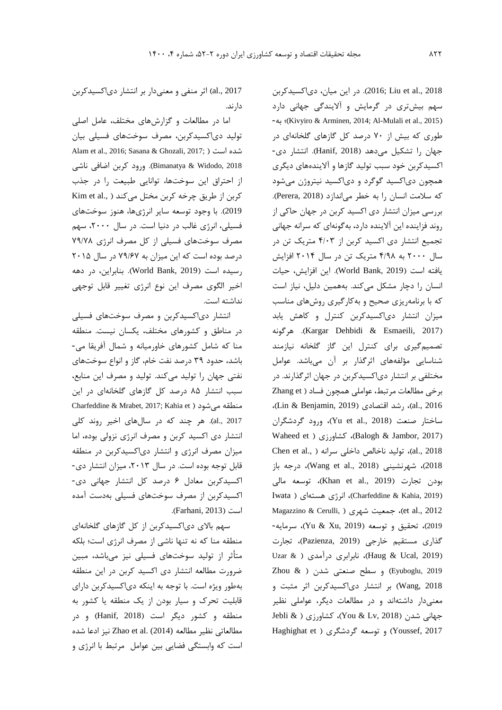2018 .,al et Liu; 2016). در اين میان، دیاکسیدکربن سهم بیشتری در گرمايش و آاليندگی جهانی دارد -به ؛(Kivyiro & Arminen, 2014; Al-Mulali et al., 2015( طوری که بیش از 70 درصد کل گازهای گلخانهای در جهان را تشکیل میدهد )2018 ,Hanif). انتشار دی- اکسیدکربن خود سبب تولید گازها و آاليندههای ديگری همچون دیاکسید گوگرد و دیاکسید نیتروژن میشود که سالمت انسان را به خطر میاندازد )2018 ,Perera). بررسی میزان انتشار دی اکسید کربن در جهان حاکی از روند فزاينده اين آالينده دارد، بهگونهای که سرانه جهانی تجمیع انتشار دی اکسید کربن از 4/03 متريک تن در سال 2000 به 4/98 متريک تن در سال 2014 افزايش يافته است )2019 ,Bank World). اين افزايش، حیات انسان را دچار مشکل میکند. بههمین دلیل، نیاز است که با برنامهريزی صحیح و بهکارگیری روشهای مناسب میزان انتشار دیاکسیدکربن کنترل و کاهش يابد هرگونه .(Kargar Dehbidi & Esmaeili, 2017( تصمیمگیری برای کنترل اين گاز گلخانه نیازمند شناسايی مؤلفههای اثرگذار بر آن میباشد. عوامل مختلفی بر انتشار دیاکسیدکربن در جهان اثرگذارند. در برخی مطالعات مرتبط، عواملی همچون فساد ( Zhang et ،)Lin & Benjamin, 2019( اقتصادی رشد ،(al., 2016 ساختار صنعت )2018 .,al et Yu)، ورود گردشگران Waheed et ) کشاورزی ( Balogh & Jambor, 2017) 1018)، تولید ناخالص داخلی سرانه ( .,al et al et al 2018)، شهرنشینی (Wang et al., 2018)، درجه باز بودن تجارت )2019 .,al et Khan)، توسعه مالی Iwata ) (Charfeddine & Kahia, 2019)، انرژی هستهای Magazzino & Cerulli, ( شهری جمعیت ،(et al., 2012 <sup>2019</sup>(، تحقیق و توسعه )2019 ,Xu & Yu)، سرمايه- گذاری مستقیم خارجی )2019 ,Pazienza)، تجارت Uzar & ) نابرابری درآمدی ( در Uzar & ) Zhou & ) و سطح صنعتی شدن ( & Zhou ) و سطح صنعتی شدن 2018 ,Wang )بر انتشار دیاکسیدکربن اثر مثبت و معنیدار داشتهاند و در مطالعات ديگر، عواملی نظیر جهانی شدن )2018 ,Lv & You)، کشاورزی ) & Jebli Haghighat et ) و توسعه گردشگری ( Haghighat et

2017 .,al )اثر منفی و معنیدار بر انتشار دیاکسیدکربن دارند.

اما در مطالعات و گزارشهای مختلف، عامل اصلی تولید دیاکسیدکربن، مصرف سوختهای فسیلی بیان Alam et al., 2016; Sasana & Ghozali, 2017; ( است شده 2018 ,Widodo & Bimanatya). ورود کربن اضافی ناشی از احتراق اين سوختها، توانايی طبیعت را در جذب کربن از طريق چرخه کربن مختل میکند ( .,Kim et al 2019(. با وجود توسعه ساير انرژیها، هنوز سوختهای فسیلی، انرژی غالب در دنیا است. در سال ،2000 سهم مصرف سوختهای فسیلی از کل مصرف انرژی 79/78 درصد بوده است که اين میزان به 79/67 در سال 2015 رسیده است )2019 ,Bank World). بنابراين، در دهه اخیر الگوی مصرف اين نوع انرژی تغییر قابل توجهی نداشته است.

انتشار دیاکسیدکربن و مصرف سوختهای فسیلی در مناطق و کشورهای مختلف، يکسان نیست. منطقه منا که شامل کشورهای خاورمیانه و شمال آفريقا می- باشد، حدود 39 درصد نفت خام، گاز و انواع سوختهای نفتی جهان را تولید میکند. تولید و مصرف اين منابع، سبب انتشار 85 درصد کل گازهای گلخانهای در اين Charfeddine & Mrabet, 2017; Kahia et ) منطقه می شود 2017 .,al). هر چند که در سالهای اخیر روند کلی انتشار دی اکسید کربن و مصرف انرژی نزولی بوده، اما میزان مصرف انرژی و انتشار دیاکسیدکربن در منطقه قابل توجه بوده است. در سال ۲۰۱۳، میزان انتشار دی-اکسیدکربن معادل 6 درصد کل انتشار جهانی دی- اکسیدکربن از مصرف سوختهای فسیلی بهدست آمده است )2013 ,Farhani).

سهم باالی دیاکسیدکربن از کل گازهای گلخانهای منطقه منا که نه تنها ناشی از مصرف انرژی است؛ بلکه متأثر از تولید سوختهای فسیلی نیز میباشد، مبین ضرورت مطالعه انتشار دی اکسید کربن در اين منطقه بهطور ويژه است. با توجه به اينکه دیاکسیدکربن دارای قابلیت تحرک و سیار بودن از يک منطقه يا کشور به منطقه و کشور ديگر است (Hanif, 2018) و در مطالعاتی نظیر مطالعه (2014) Zhao et al. نیز ادعا شده است که وابستگی فضايی بین عوامل مرتبط با انرژی و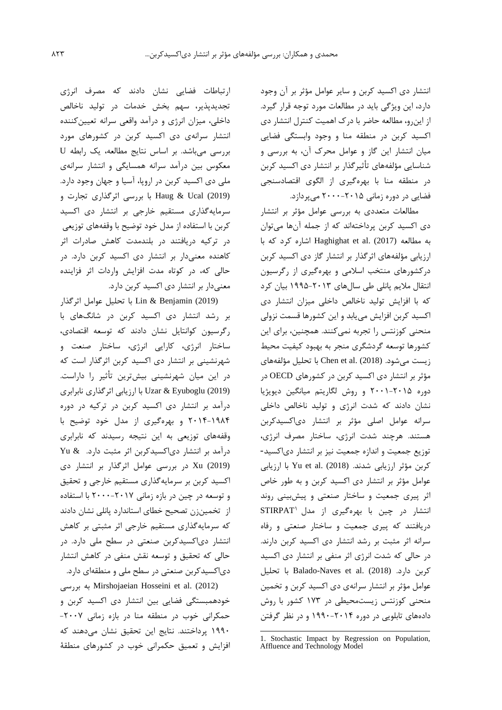انتشار دی اکسید کربن و ساير عوامل مؤثر بر آن وجود دارد، اين ويژگی بايد در مطالعات مورد توجه قرار گیرد. از اينرو، مطالعه حاضر با درک اهمیت کنترل انتشار دی اکسید کربن در منطقه منا و وجود وابستگی فضايی میان انتشار اين گاز و عوامل محرک آن، به بررسی و شناسايی مؤلفههای تأثیرگذار بر انتشار دی اکسید کربن در منطقه منا با بهرهگیری از الگوی اقتصادسنجی فضايی در دوره زمانی 2000-2015 میپردازد.

مطالعات متعددی به بررسی عوامل مؤثر بر انتشار دی اکسید کربن پرداختهاند که از جمله آنها میتوان به مطالعه (2017) .al et Haghighat اشاره کرد که با ارزيابی مؤلفههای اثرگذار بر انتشار گاز دی اکسید کربن درکشورهای منتخب اسالمی و بهرهگیری از رگرسیون انتقال ماليم پانلی طی سالهای 1995-2013 بیان کرد که با افزايش تولید ناخالص داخلی میزان انتشار دی اکسید کربن افزايش میيابد و اين کشورها قسمت نزولی منحنی کوزنتس را تجربه نمیکنند. همچنین، برای اين زيست میشود. (Chen et al. (2018) با تحليل مؤلفههای مؤثر بر انتشار دی اکسید کربن در کشورهای OECD در دوره 2001-2015 و روش لگاريتم میانگین ديويژيا نشان دادند که شدت انرژی و تولید ناخالص داخلی سرانه عوامل اصلی مؤثر بر انتشار دیاکسیدکربن هستند. هرچند شدت انرژی، ساختار مصرف انرژی، توزيع جمعیت و اندازه جمعیت نیز بر انتشار دیاکسید- کربن مؤثر ارزيابی شدند. (2018) Yu et al. (20 عوامل مؤثر بر انتشار دی اکسید کربن و به طور خاص اثر پیری جمعیت و ساختار صنعتی و پیشبینی روند STIRPAT <sup>1</sup> انتشار در چین با بهرهگیری از مدل دريافتند که پیری جمعیت و ساختار صنعتی و رفاه سرانه اثر مثبت بر رشد انتشار دی اکسید کربن دارند. در حالی که شدت انرژی اثر منفی بر انتشار دی اکسید کربن دارد. (2018) .al et Naves-Balado با تحلیل عوامل مؤثر بر انتشار سرانهی دی اکسید کربن و تخمین منحنی کوزنتس زيستمحیطی در 173 کشور با روش دادههای تابلويی در دوره 1990-2014 و در نظر گرفتن

کشورها توسعه گردشگری منجر به بهبود کیفیت محیط

-

ارتباطات فضايی نشان دادند که مصرف انرژی تجديدپذير، سهم بخش خدمات در تولید ناخالص داخلی، میزان انرژی و درآمد واقعی سرانه تعیینکننده انتشار سرانهی دی اکسید کربن در کشورهای مورد بررسی میباشد. بر اساس نتايج مطالعه، يک رابطه U معکوس بین درآمد سرانه همسايگی و انتشار سرانهی ملی دی اکسید کربن در اروپا، آسیا و جهان وجود دارد. (2019) Ucal & Haug با بررسی اثرگذاری تجارت و سرمايهگذاری مستقیم خارجی بر انتشار دی اکسید کربن با استفاده از مدل خود توضیح با وقفههای توزيعی در ترکیه دريافتند در بلندمدت کاهش صادرات اثر کاهنده معنیدار بر انتشار دی اکسید کربن دارد. در حالی که، در کوتاه مدت افزايش واردات اثر فزاينده معنیدار بر انتشار دی اکسید کربن دارد.

(2019) Benjamin & Lin با تحلیل عوامل اثرگذار بر رشد انتشار دی اکسید کربن در شانگهای با رگرسیون کوانتايل نشان دادند که توسعه اقتصادی، ساختار انرژی، کارايی انرژی، ساختار صنعت و شهرنشینی بر انتشار دی اکسید کربن اثرگذار است که در اين میان شهرنشینی بیشترين تأثیر را داراست. (2019) Eyuboglu & Uzar با ارزيابی اثرگذاری نابرابری درآمد بر انتشار دی اکسید کربن در ترکیه در دوره 2014-1984 و بهرهگیری از مدل خود توضیح با وقفههای توزيعی به اين نتیجه رسیدند که نابرابری درآمد بر انتشار دیاکسیدکربن اثر مثبت دارد. & Yu (2019) Xu در بررسی عوامل اثرگذار بر انتشار دی اکسید کربن بر سرمايهگذاری مستقیم خارجی و تحقیق و توسعه در چین در بازه زمانی 2000-2017 با استفاده از تخمینزن تصحیح خطای استاندارد پانلی نشان دادند که سرمايهگذاری مستقیم خارجی اثر مثبتی بر کاهش انتشار دیاکسیدکربن صنعتی در سطح ملی دارد. در حالی که تحقیق و توسعه نقش منفی در کاهش انتشار دیاکسیدکربن صنعتی در سطح ملی و منطقهای دارد.

 بررسی به Mirshojaeian Hosseini et al. (2012) خودهمبستگی فضايی بین انتشار دی اکسید کربن و حمکرانی خوب در منطقه منا در بازه زمانی -2007 1990 پرداختند. نتايج اين تحقیق نشان میدهند که افزايش و تعمیق حکمرانی خوب در کشورهای منطقة

<sup>1.</sup> Stochastic Impact by Regression on Population, Affluence and Technology Model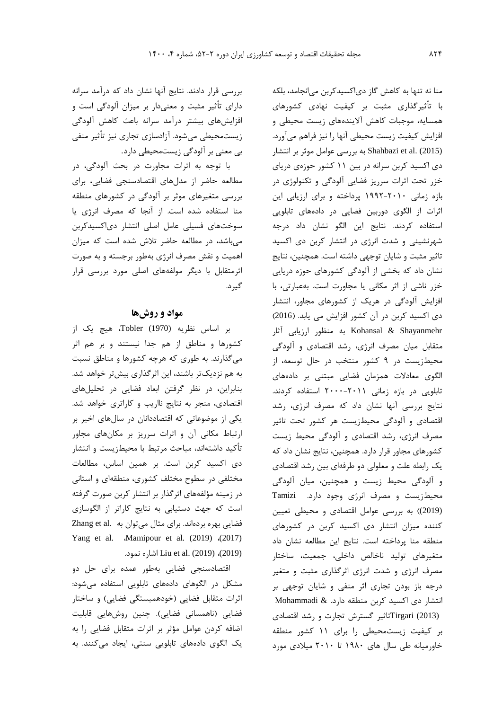بررسی قرار دادند. نتايج آنها نشان داد که درآمد سرانه دارای تأثیر مثبت و معنیدار بر میزان آلودگی است و افزايشهای بیشتر درآمد سرانه باعث کاهش آلودگی زيستمحیطی میشود. آزادسازی تجاری نیز تأثیر منفی بی معنی بر آلودگی زيستمحیطی دارد.

با توجه به اثرات مجاورت در بحث آلودگی، در مطالعه حاضر از مدلهای اقتصادسنجی فضايی، برای بررسی متغیرهای موثر بر آلودگی در کشورهای منطقه منا استفاده شده است. از آنجا که مصرف انرژی يا سوختهای فسیلی عامل اصلی انتشار دیاکسیدکربن میباشد، در مطالعه حاضر تالش شده است که میزان اهمیت و نقش مصرف انرژی بهطور برجسته و به صورت اثرمتقابل با ديگر مولفههای اصلی مورد بررسی قرار گیرد.

## **مواد و روشها**

بر اساس نظريه (1970) Tobler، هیچ يک از کشورها و مناطق از هم جدا نیستند و بر هم اثر میگذارند. به طوری که هرچه کشورها و مناطق نسبت به هم نزديکتر باشند، اين اثرگذاری بیشتر خواهد شد. بنابراين، در نظر گرفتن ابعاد فضايی در تحلیلهای اقتصادی، منجر به نتايج نااريب و کاراتری خواهد شد. يکی از موضوعاتی که اقتصاددانان در سالهای اخیر بر ارتباط مکانی آن و اثرات سرريز بر مکانهای مجاور تأکید داشتهاند، مباحث مرتبط با محیطزيست و انتشار دی اکسید کربن است. بر همین اساس، مطالعات مختلفی در سطوح مختلف کشوری، منطقهای و استانی در زمینه مؤلفههای اثرگذار بر انتشار کربن صورت گرفته است که جهت دستیابی به نتايج کاراتر از الگوسازی فضايی بهره بردهاند. برای مثال میتوان به Zhang et al. Yang et al. Mamipour et al. (2019)  $(2017)$ .نمود اشاره Liu et al. (2019) ،(2019)

اقتصادسنجی فضايی بهطور عمده برای حل دو مشکل در الگوهای دادههای تابلويی استفاده میشود: اثرات متقابل فضايی (خودهمبستگی فضايی) و ساختار فضايی (ناهمسانی فضايی). چنین روشهايی قابلیت اضافه کردن عوامل مؤثر بر اثرات متقابل فضايی را به يک الگوی دادههای تابلويی سنتی، ايجاد میکنند. به منا نه تنها به کاهش گاز دیاکسیدکربن میانجامد، بلکه با تأثیرگذاری مثبت بر کیفیت نهادی کشورهای همسايه، موجبات کاهش آاليندههای زيست محیطی و افزايش کیفیت زيست محیطی آنها را نیز فراهم میآورد. (2015) .al et Shahbazi به بررسی عوامل موثر بر انتشار دی اکسید کربن سرانه در بین 11 کشور حوزهی دريای خزر تحت اثرات سرريز فضايی آلودگی و تکنولوژی در بازه زمانی 1992-2010 پرداخته و برای ارزيابی اين اثرات از الگوی دوربین فضايی در دادههای تابلويی استفاده کردند. نتايج اين الگو نشان داد درجه شهرنشینی و شدت انرژی در انتشار کربن دی اکسید تاثیر مثبت و شايان توجهی داشته است. همچنین، نتايج نشان داد که بخشی از آلودگی کشورهای حوزه دريايی خزر ناشی از اثر مکانی يا مجاورت است. بهعبارتی، با افزايش آلودگی در هريک از کشورهای مجاور، انتشار دی اکسید کربن در آن کشور افزايش می يابد. )2016( Shayanmehr & Kohansal به منظور ارزيابی آثار متقابل میان مصرف انرژی، رشد اقتصادی و آلودگی محیطزيست در 9 کشور منتخب در حال توسعه، از الگوی معادالت همزمان فضايی مبتنی بر دادههای تابلويی در بازه زمانی 2000-2011 استفاده کردند. نتايج بررسی آنها نشان داد که مصرف انرژی، رشد اقتصادی و آلودگی محیطزيست هر کشور تحت تاثیر مصرف انرژی، رشد اقتصادی و آلودگی محیط زيست کشورهای مجاور قرار دارد. همچنین، نتايج نشان داد که يک رابطه علت و معلولی دو طرفهای بین رشد اقتصادی و آلودگی محیط زيست و همچنین، میان آلودگی محیطزيست و مصرف انرژی وجود دارد. Tamizi (2019)( به بررسی عوامل اقتصادی و محیطی تعیین کننده میزان انتشار دی اکسید کربن در کشورهای منطقه منا پرداخته است. نتايج اين مطالعه نشان داد متغیرهای تولید ناخالص داخلی، جمعیت، ساختار مصرف انرژی و شدت انرژی اثرگذاری مثبت و متغیر درجه باز بودن تجاری اثر منفی و شايان توجهی بر انتشار دی اکسید کربن منطقه دارد. & Mohammadi (2013) Tirgariتاثیر گسترش تجارت و رشد اقتصادی بر کیفیت زيستمحیطی را برای 11 کشور منطقه خاورمیانه طی سال های 1980 تا 2010 میالدی مورد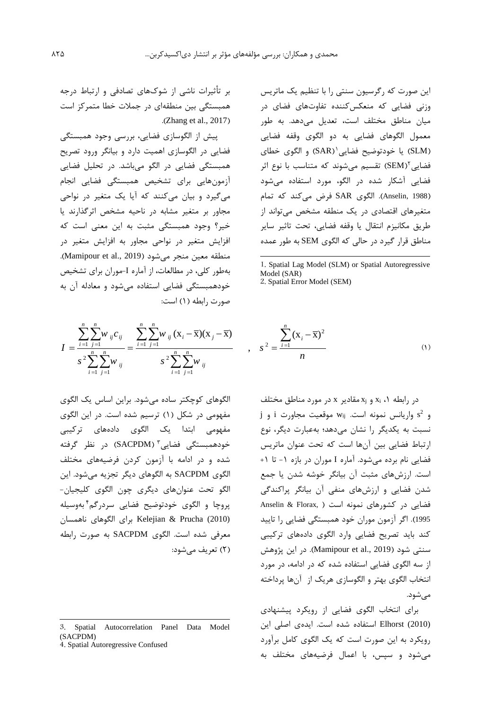,

اين صورت که رگرسیون سنتی را با تنظیم يک ماتريس وزنی فضايی که منعکسکننده تفاوتهای فضای در میان مناطق مختلف است، تعديل میدهد. به طور معمول الگوهای فضايی به دو الگوی وقفه فضايی (SLM) يا خودتوضيح فضايی`(SAR) و الگوی خطای فضایی SEM) تقسیم میشوند که متناسب با نوع اثر فضايی آشکار شده در الگو، مورد استفاده میشود )1988 ,Anselin). الگوی SAR فرض میکند که تمام متغیرهای اقتصادی در يک منطقه مشخص میتواند از طريق مکانیزم انتقال يا وقفه فضايی، تحت تاثیر ساير مناطق قرار گیرد در حالی که الگوی SEM به طور عمده

-1. Spatial Lag Model (SLM) or Spatial Autoregressive Model (SAR) 2. Spatial Error Model (SEM)

$$
s^{2} = \frac{\sum_{i=1}^{n} (x_{i} - \overline{x})^{2}}{n}
$$
 (1)

در رابطه ۰٫ x و xi مقادير x در مورد مناطق مختلف و 2 s واريانس نمونه است. wij موقعیت مجاورت i و j نسبت به يکديگر را نشان میدهد؛ بهعبارت ديگر، نوع ارتباط فضايی بین آنها است که تحت عنوان ماتريس فضايی نام برده میشود. آماره I موران در بازه -1 تا +1 است. ارزشهای مثبت آن بیانگر خوشه شدن يا جمع شدن فضايی و ارزشهای منفی آن بیانگر پراکندگی فضايی در کشورهای نمونه است ( Anselin & Florax, 1995(. اگر آزمون موران خود همبستگی فضايی را تايید کند بايد تصريح فضايی وارد الگوی دادههای ترکیبی سنتی شود )2019 .,al et Mamipour). در اين پژوهش از سه الگوی فضايی استفاده شده که در ادامه، در مورد انتخاب الگوی بهتر و الگوسازی هريک از آنها پرداخته مے شود.

برای انتخاب الگوی فضايی از رويکرد پیشنهادی (2010) Elhorst استفاده شده است. ايدهی اصلی اين رويکرد به اين صورت است که يک الگوی کامل برآورد میشود و سپس، با اعمال فرضیههای مختلف به

بر تأثیرات ناشی از شوکهای تصادفی و ارتباط درجه همبستگی بین منطقهای در جمالت خطا متمرکز است .(Zhang et al., 2017)

پیش از الگوسازی فضايی، بررسی وجود همبستگی فضايی در الگوسازی اهمیت دارد و بیانگر ورود تصريح همبستگی فضايی در الگو میباشد. در تحلیل فضايی آزمونهايی برای تشخیص همبستگی فضايی انجام میگیرد و بیان میکنند که آيا يک متغیر در نواحی مجاور بر متغیر مشابه در ناحیه مشخص اثرگذارند يا خیر؟ وجود همبستگی مثبت به اين معنی است که افزايش متغیر در نواحی مجاور به افزايش متغیر در منطقه معین منجر می شود (Mamipour et al., 2019). بهطور کلی، در مطالعات، از آماره I-موران برای تشخیص خودهمبستگی فضايی استفاده میشود و معادله آن به صورت رابطه )1( است:

خودهمبستکی فخایمیستکی استفاده میشود و معادله ان به  
\n
$$
I = \frac{\sum_{i=1}^{n} \sum_{j=1}^{n} w_{ij} c_{ij}}{s^{2} \sum_{i=1}^{n} \sum_{j=1}^{n} w_{ij}} = \frac{\sum_{i=1}^{n} \sum_{j=1}^{n} w_{ij} (x_{i} - \overline{x})(x_{j} - \overline{x})}{s^{2} \sum_{i=1}^{n} \sum_{j=1}^{n} w_{ij}} , s^{2} = \frac{\sum_{i=1}^{n} (x_{i} - \overline{x})(x_{j} - \overline{x})}{n}
$$

الگوهای کوچکتر ساده میشود. براين اساس يک الگوی مفهومی در شکل )1( ترسیم شده است. در اين الگوی مفهومی ابتدا يک الگوی دادههای ترکیبی خودهمبستگی فضایی ؓ (SACPDM) در نظر گرفته شده و در ادامه با آزمون کردن فرضیههای مختلف الگوی SACPDM به الگوهای ديگر تجزيه میشود. اين الگو تحت عنوانهای ديگری چون الگوی کلیجیان- پروچا و الگوی خودتوضیح فضايی سردرگم ٔ بهوسیله (2010) Prucha & Kelejian برای الگوهای ناهمسان معرفی شده است. الگوی SACPDM به صورت رابطه )2( تعريف میشود:

3. Spatial Autocorrelation Panel Data Model (SACPDM)

4. Spatial Autoregressive Confused

 $\overline{a}$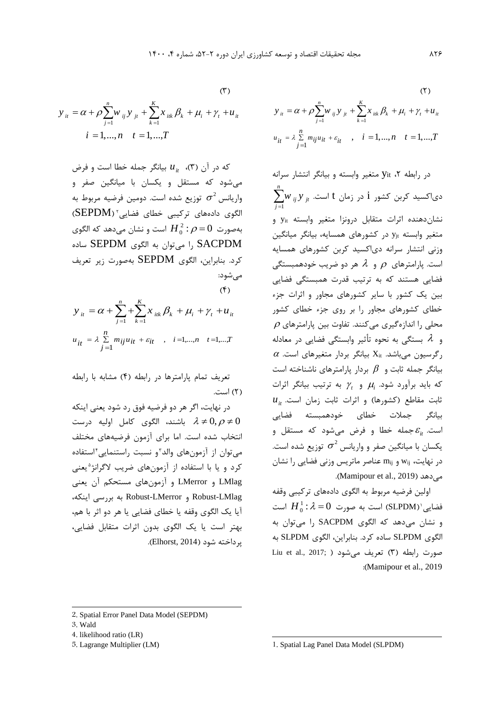$(1)$ 

که در آن )3(، *it* بیانگر جمله خطا است و فرض *u* میشود که مستقل و يکسان با میانگین صفر و واريانس  $\sigma^2$  توزيع شده است. دومين فرضيه مربوط به الگوی دادههای ترکیبی خطای فضایی ٔ (SEPDM)  $\frac{2}{2}$  :  $\rho$   $=$   $0$   $\Rightarrow$   $\rho$ است و نشان میدهد که الگوی  ${H}_0^{\,2}$  :  $\rho\!=\!0$ SACPDM را میتوان به الگوی SEPDM ساده کرد. بنابراين، الگوی SEPDM بهصورت زير تعريف میشود:  $($ 

$$
(f)
$$
  

$$
y_{ii} = \alpha + \sum_{j=1}^{n} \sum_{k=1}^{K} x_{ik} \beta_{k} + \mu_{i} + \gamma_{t} + \mu_{it}
$$
  

$$
u_{it} = \lambda \sum_{j=1}^{n} m_{ij} u_{it} + \varepsilon_{it} , \quad i = 1,...,n \quad t = 1,...,T
$$

تعريف تمام پارامترها در رابطه )4( مشابه با رابطه )2( است.

در نهايت، اگر هر دو فرضیه فوق رد شود يعنی اينکه باشند، الگوی کامل اولیه درست  $\lambda \neq 0, \rho \neq 0$ انتخاب شده است. اما برای آزمون فرضیههای مختلف میتوان از آزمونهای والد 3 و نسبت راستنمايی<sup>4</sup> استفاده کرد و یا با استفاده از ازمونهای ضریب لاگرانژ<sup>ه</sup>یعنی LMlag و LMerror و آزمونهای مستحکم آن يعنی LMlag-Robust و LMerror-Robust به بررسی اينکه، آيا يک الگوی وقفه يا خطای فضايی يا هر دو اثر با هم، بهتر است يا يک الگوی بدون اثرات متقابل فضايی، پرداخته شود )2014 ,Elhorst).

(7)  
\n
$$
y_{it} = \alpha + \rho \sum_{j=1}^{n} w_{ij} y_{jt} + \sum_{k=1}^{K} x_{ik} \beta_k + \mu_i + \gamma_t + u_{it}
$$
\n
$$
u_{it} = \lambda \sum_{j=1}^{n} m_{ij} u_{it} + \varepsilon_{it} \qquad, \quad i = 1, ..., n \qquad t = 1, ..., T
$$

در رابطه ۲، yit متغیر وابسته و بیانگر انتشار سرانه  $\sum^n_{ij}$ سید کربن کشور i در زمان t است.  ${y}_{ji}$   $\int_{0}^{n}$ 1  $\sum w_{ij} y_{jt}$ *j*  $\equiv$ نشاندهنده اثرات متقابل درونزا متغیر وابسته yit و متغیر وابسته yjt در کشورهای همسايه، بیانگر میانگین وزنی انتشار سرانه دیاکسید کربن کشورهای همسايه ست. پارامترهای  $\rho$  و  $\lambda$  هر دو ضریب خودهمبستگی فضايی هستند که به ترتیب قدرت همبستگی فضايی بین يک کشور با ساير کشورهای مجاور و اثرات جزء خطای کشورهای مجاور را بر روی جزء خطای کشور  $\rho$  محلی را اندازهگیری میکنند. تفاوت بین پارامترهای بستگی به نحوه تأثیر وابستگی فضايی در معادله و  $\alpha$  رگرسیون میباشد.  $\rm X_{it}$  بیانگر بردار متغیرهای است. بیانگر جمله ثابت و  $\,\,\beta\,$  بردار پارامترهای ناشناخته است که بايد برآورد شود. *i* و *t* به ترتیب بیانگر اثرات  $u_{it}$  ثابت مقاطع (کشورها) و اثرات ثابت زمان است. بیانگر جمالت خطای خودهمبسته فضايی است. *it* جمله خطا و فرض میشود که مستقل و یکسان با میانگین صفر و واریانس  $\sigma^2$  توزیع شده است. در نهايت، wij و mij عناصر ماتريس وزنی فضايی را نشان .(Mamipour et al., 2019).

اولین فرضیه مربوط به الگوی دادههای ترکیبی وقفه  $\frac{1}{0}$  : فضايى'(SLPDM) است به صورت  $\lambda=0$ است  ${H}_0^1$ :  $\lambda = 0$ و نشان میدهد که الگوی SACPDM را میتوان به الگوی SLPDM ساده کرد. بنابراين، الگوی SLPDM به Liu et al., 2017; ) تعريف می شود ( $\lambda$  تعريف می :)Mamipour et al., 2019

 $\overline{a}$ 

 $\overline{a}$ 

 $(1)$ 

<sup>2</sup>. Spatial Error Panel Data Model (SEPDM)

<sup>3</sup>. Wald

<sup>4</sup>. likelihood ratio (LR)

<sup>5</sup>. Lagrange Multiplier (LM)

<sup>1</sup>. Spatial Lag Panel Data Model (SLPDM)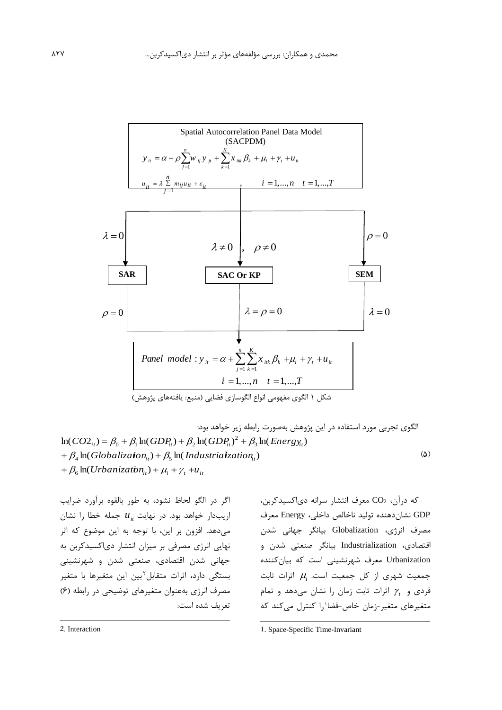

الگوی تجربی مورد استفاده در اين پژوهش بهصورت رابطه زير خواهد بود:  $(\Delta)$ +  $p_4$  **in**( *Globalization*<sub>it</sub>) +  $p_5$  **in**( *Indu*<br>+  $\beta_6$  **in**( *Urbanization*<sub>it</sub>) +  $\mu_i$  +  $\gamma_t$  +  $u_{ii}$  $\beta_{ii}$   $= \beta_0 + \beta_1 \ln(GDP_{ii}) + \beta_2 \ln(GDP_{ii})^2 + \beta_3$ <br> *Globalization*<sub>*ii*</sub>  $) + \beta_5 \ln(Industrialzation_{ii})$ <br> *Urbanization*<sub>*ii*</sub>  $) + \mu_i + \gamma_i + u_{ii}$  $\ln(CO2_{it}) = \beta_0 + \beta_1\ln(GDP_{it}) + \beta_2\ln(GDP_{it})^2 + \beta_3\ln(Energy_{it})$  $\beta_4$  ln( *Globalizaton*<sub>it</sub>) +  $\beta_5$  ln( *Industrialzation*<sub>it</sub>)

اگر در الگو لحاظ نشود، به طور بالقوه برآورد ضرايب اريبدار خواهد بود. در نهايت *it* جمله خطا را نشان *u* میدهد. افزون بر اين، با توجه به اين موضوع که اثر نهايی انرژی مصرفی بر میزان انتشار دیاکسیدکربن به جهانی شدن اقتصادی، صنعتی شدن و شهرنشینی بستگی دارد، اثرات متقابل<sup>۲</sup>بین این متغیرها با متغیر مصرف انرژی بهعنوان متغیرهای توضیحی در رابطه )6( تعريف شده است:

که درآن، <sup>2</sup>CO معرف انتشار سرانه دیاکسیدکربن، GDP نشاندهنده تولید ناخالص داخلی، Energy معرف مصرف انرژی، Globalization بیانگر جهانی شدن اقتصادی، Industrialization بیانگر صنعتی شدن و Urbanization معرف شهرنشینی است که بیانکننده جمعیت شهری از کل جمعیت است. *i* اثرات ثابت فردی و *t* اثرات ثابت زمان را نشان میدهد و تمام متغیرهای متغیر-زمان خاص-فضا'را کنترل میکند که

-

2. Interaction

 $\overline{a}$ 

<sup>1</sup>. Space-Specific Time-Invariant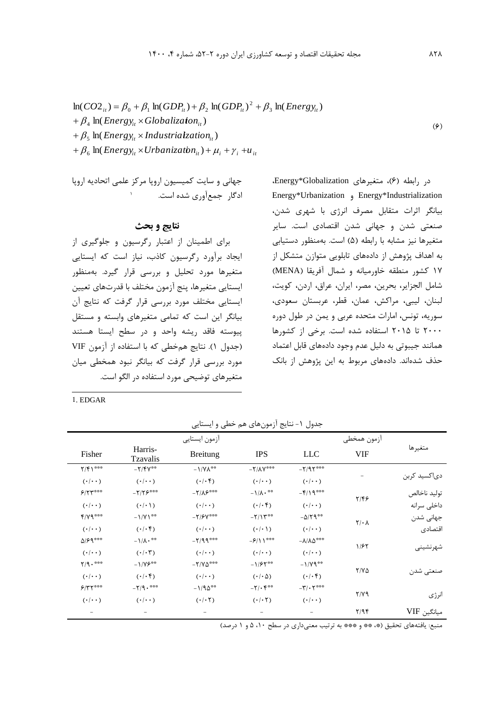$$
\ln(CO2_{ii}) = \beta_0 + \beta_1 \ln(GDP_{ii}) + \beta_2 \ln(GDP_{ii})^2 + \beta_3 \ln(Energy_{ii})
$$
  
+  $\beta_4 \ln(Energy_{ii} \times Globalization_{ii})$   
+  $\beta_5 \ln(Energy_{ii} \times Industrialzation_{ii})$   
+  $\beta_6 \ln(Energy_{ii} \times Urbanization_{ii}) + \mu_i + \gamma_i + u_{ii}$  (9)

در رابطه )6(، متغیرهای Globalization\*Energy، Energy\*Urbanization و Energy\*Industrialization بیانگر اثرات متقابل مصرف انرژی با شهری شدن، صنعتی شدن و جهانی شدن اقتصادی است. ساير متغیرها نیز مشابه با رابطه (۵) است. بهمنظور دستیابی به اهداف پژوهش از دادههای تابلويی متوازن متشکل از 17 کشور منطقه خاورمیانه و شمال آفريقا )MENA ) شامل الجزاير، بحرين، مصر، ايران، عراق، اردن، کويت، لبنان، لیبی، مراکش، عمان، قطر، عربستان سعودی، سوريه، تونس، امارات متحده عربی و يمن در طول دوره 2000 تا 2015 استفاده شده است. برخی از کشورها همانند جیبوتی به دلیل عدم وجود دادههای قابل اعتماد حذف شدهاند. دادههای مربوط به اين پژوهش از بانک

جهانی و سايت کمیسیون اروپا مرکز علمی اتحاديه اروپا 1ادگار جمعآوری شده است.

# **نتایج و بحث**

برای اطمینان از اعتبار رگرسیون و جلوگیری از ايجاد برآورد رگرسیون کاذب، نیاز است که ايستايی متغیرها مورد تحلیل و بررسی قرار گیرد. بهمنظور ايستايی متغیرها، پنج آزمون مختلف با قدرتهای تعیین ايستايی مختلف مورد بررسی قرار گرفت که نتايج آن بیانگر اين است که تمامی متغیرهای وابسته و مستقل پیوسته فاقد ريشه واحد و در سطح ايستا هستند )جدول 1(. نتايج همخطی که با استفاده از آزمون VIF مورد بررسی قرار گرفت که بیانگر نبود همخطی میان متغیرهای توضیحی مورد استفاده در الگو است.

 $\overline{a}$ 1. EDGAR

جدول ۱- نتايج آزمونهای هم خطی و ايستايی

|                         |                       | ازمون ايستايي              |                                    |                                | ازمون همخطي       |              |  |
|-------------------------|-----------------------|----------------------------|------------------------------------|--------------------------------|-------------------|--------------|--|
| Fisher                  | Harris-<br>Tzavalis   | <b>Breitung</b>            | <b>IPS</b>                         | <b>LLC</b>                     | <b>VIF</b>        | متغيرها      |  |
| Y/Y                     | $-Y/Y$ **             | $-1/\Upsilon\Lambda^{***}$ | $-Y/AY$ ***                        | $-Y/97***$                     |                   |              |  |
| $(\cdot   \cdot \cdot)$ | $(\cdot/\cdot\cdot)$  | $(\cdot/\cdot)$            | $(\cdot   \cdot \cdot)$            | $(\cdot/\cdot\cdot)$           |                   | دى كسيد كربن |  |
| 5/5                     | $-Y/Y5***$            | $-Y/\Lambda P^{***}$       | $-\frac{1}{\Lambda}$ .**           | $-\frac{2}{3}$                 |                   | توليد ناخالص |  |
| $(\cdot/\cdot\cdot)$    | $(\cdot/\cdot)$       | $(\cdot/\cdot\cdot)$       | $(\cdot/\cdot)$                    | $(\cdot/\cdot\cdot)$           | $Y/\mathfrak{F}$  | داخلى سرانه  |  |
| $f/YQ***$               | $-1/Y$ <sup>**</sup>  | $-Y$ /۶ $Y$ ***            | $-7/15$                            | $-\Delta/\Upsilon$ ۹**         |                   | جھانی شدن    |  |
| $(\cdot   \cdot \cdot)$ | $(\cdot/\cdot)$       | $(\cdot/\cdot\cdot)$       | $(\cdot/\cdot)$                    | $(\cdot   \cdot \cdot)$        | $Y/\cdot \Lambda$ | اقتصادى      |  |
| $\Delta$ /۶۹***         | $-1/\Lambda \cdot$ ** | $-7/99***$                 | $-9/11$ ***                        | $-\lambda/\lambda\Delta^{***}$ | 1/57              |              |  |
| $(\cdot   \cdot \cdot)$ | $(\cdot/\cdot 7)$     | $(\cdot   \cdot \cdot)$    | $(\cdot   \cdot \cdot)$            | $(\cdot   \cdot \cdot)$        |                   | شهر نشينى    |  |
| $Y/9 \cdot$ ***         | $-1/75$               | $-Y/V\Delta***$            | $-1/55$ **                         | $-1/Y9$ <sup>**</sup>          |                   |              |  |
| $(\cdot/\cdot\cdot)$    | $(\cdot  \cdot)$      | $(\cdot/\cdot\cdot)$       | $(\cdot/\cdot)$                    | $(\cdot  \cdot)$               | $Y/Y\Delta$       | صنعتي شدن    |  |
| $5/77***$               | $-Y/9 \cdot$ ***      | $-1/90$ **                 | $-\mathsf{Y}/\cdot\mathsf{F}^{**}$ | $-\mathbf{r}/\cdot \mathbf{r}$ |                   |              |  |
| $(\cdot/\cdot\cdot)$    | $(\cdot/\cdot\cdot)$  | $(\cdot/\cdot 7)$          | $(\cdot/\cdot 7)$                  | $(\cdot/\cdot\cdot)$           | $Y/Y$ ۹           | انرژى        |  |
|                         |                       |                            |                                    |                                | 7/95              | ميانگين VIF  |  |

منبع: يافتههای تحقيق (\*، \*\* و \*\*\* به ترتيب معنیداری در سطح ١٠، ۵ و ١ درصد)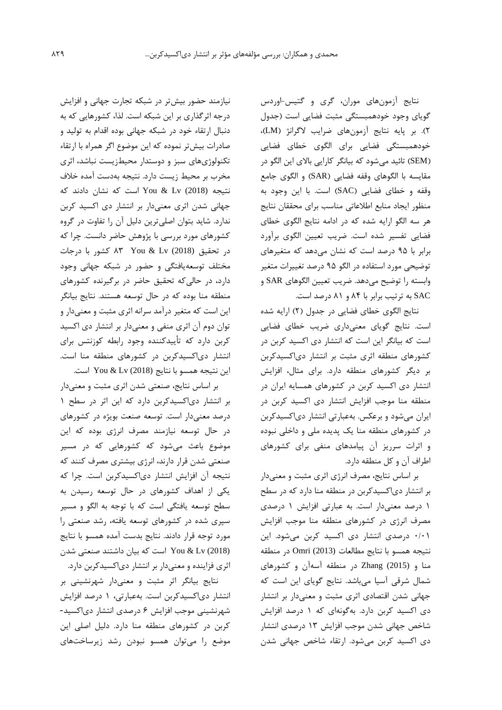نتايج آزمونهای موران، گری و گتیس-اوردس گويای وجود خودهمبستگی مثبت فضايی است )جدول 2(. بر پايه نتايج آزمونهای ضرايب الگرانژ )LM)، خودهمبستگی فضايی برای الگوی خطای فضايی )SEM )تائید میشود که بیانگر کارايی باالی اين الگو در مقايسه با الگوهای وقفه فضايی (SAR) و الگوی جامع وقفه و خطای فضايی )SAC )است. با اين وجود به منظور ايجاد منابع اطالعاتی مناسب برای محققان نتايج هر سه الگو ارايه شده که در ادامه نتايج الگوی خطای فضايی تفسیر شده است. ضريب تعیین الگوی برآورد برابر با 95 درصد است که نشان میدهد که متغیرهای توضیحی مورد استفاده در الگو 95 درصد تغییرات متغیر وابسته را توضیح میدهد. ضريب تعیین الگوهای SAR و SAC به ترتیب برابر با 84 و 81 درصد است.

نتايج الگوی خطای فضايی در جدول (٢) ارايه شده است. نتايج گويای معنیداری ضريب خطای فضايی است که بیانگر اين است که انتشار دی اکسید کربن در کشورهای منطقه اثری مثبت بر انتشار دیاکسیدکربن بر ديگر کشورهای منطقه دارد. برای مثال، افزايش انتشار دی اکسید کربن در کشورهای همسايه ايران در منطقه منا موجب افزايش انتشار دی اکسید کربن در ايران میشود و برعکس. بهعبارتی انتشار دیاکسیدکربن در کشورهای منطقه منا يک پديده ملی و داخلی نبوده و اثرات سرريز آن پیامدهای منفی برای کشورهای اطراف آن و کل منطقه دارد.

بر اساس نتايج، مصرف انرژی اثری مثبت و معنیدار بر انتشار دیاکسیدکربن در منطقه منا دارد که در سطح 1 درصد معنیدار است. به عبارتی افزايش 1 درصدی مصرف انرژی در کشورهای منطقه منا موجب افزايش 0/01 درصدی انتشار دی اکسید کربن میشود. اين نتیجه همسو با نتايج مطالعات (2013) Omri در منطقه منا و (2015) Zhang در منطقه آسهآن و کشورهای شمال شرقی آسیا میباشد. نتايج گويای اين است که جهانی شدن اقتصادی اثری مثبت و معنیدار بر انتشار دی اکسید کربن دارد. بهگونهای که 1 درصد افزايش شاخص جهانی شدن موجب افزايش 13 درصدی انتشار دی اکسید کربن میشود. ارتقاء شاخص جهانی شدن

نیازمند حضور بیشتر در شبکه تجارت جهانی و افزايش درجه اثرگذاری بر اين شبکه است. لذا، کشورهايی که به دنبال ارتقاء خود در شبکه جهانی بوده اقدام به تولید و صادرات بیشتر نموده که اين موضوع اگر همراه با ارتقاء تکنولوژیهای سبز و دوستدار محیطزيست نباشد، اثری مخرب بر محیط زيست دارد. نتیجه بهدست آمده خالف نتیجه (2018) Lv & You است که نشان دادند که جهانی شدن اثری معنیدار بر انتشار دی اکسید کربن ندارد. شايد بتوان اصلیترين دلیل آن را تفاوت در گروه کشورهای مورد بررسی با پژوهش حاضر دانست. چرا که در تحقیق (2018) Lv & You 83 کشور با درجات مختلف توسعهيافتگی و حضور در شبکه جهانی وجود دارد، در حالیکه تحقیق حاضر در برگیرنده کشورهای منطقه منا بوده که در حال توسعه هستند. نتايج بیانگر اين است که متغیر درآمد سرانه اثری مثبت و معنیدار و توان دوم آن اثری منفی و معنیدار بر انتشار دی اکسید کربن دارد که تأيیدکننده وجود رابطه کوزنتس برای انتشار دیاکسیدکربن در کشورهای منطقه منا است. اين نتیجه همسو با نتايج (2018) Lv & You است.

بر اساس نتايج، صنعتی شدن اثری مثبت و معنیدار بر انتشار دیاکسیدکربن دارد که اين اثر در سطح 1 درصد معنیدار است. توسعه صنعت بويژه در کشورهای در حال توسعه نیازمند مصرف انرژی بوده که اين موضوع باعث میشود که کشورهايی که در مسیر صنعتی شدن قرار دارند، انرژی بیشتری مصرف کنند که نتیجه آن افزايش انتشار دیاکسیدکربن است. چرا که يکی از اهداف کشورهای در حال توسعه رسیدن به سطح توسعه يافتگی است که با توجه به الگو و مسیر سپری شده در کشورهای توسعه يافته، رشد صنعتی را مورد توجه قرار دادند. نتايج بدست آمده همسو با نتايج (2018) Lv & You است که بیان داشتند صنعتی شدن اثری فزاينده و معنیدار بر انتشار دیاکسیدکربن دارد.

نتايج بیانگر اثر مثبت و معنیدار شهرنشینی بر انتشار دیاکسیدکربن است. بهعبارتی، 1 درصد افزايش شهرنشینی موجب افزايش 6 درصدی انتشار دیاکسید- کربن در کشورهای منطقه منا دارد. دلیل اصلی اين موضع را میتوان همسو نبودن رشد زيرساختهای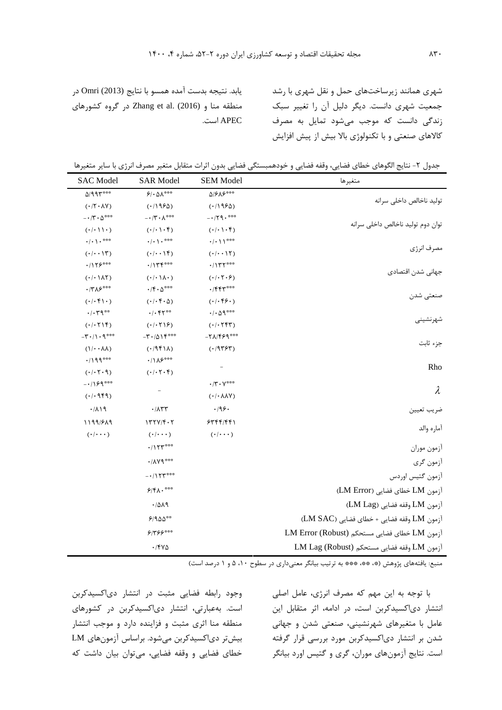شهری همانند زيرساختهای حمل و نقل شهری با رشد جمعیت شهری دانست. ديگر دلیل آن را تغییر سبک زندگی دانست که موجب میشود تمايل به مصرف کاالهای صنعتی و با تکنولوژی باال بیش از پیش افزايش

يابد. نتیجه بدست آمده همسو با نتايج (2013) Omri در منطقه منا و (2016) .al et Zhang در گروه کشورهای APEC است.

| جدول ٢- نتايج الگوهاي خطاي فضايي، وقفه فضايي و خودهمبستگي فضايي بدون اثرات متقابل متغير مصرف انرژي با ساير متغيرها |  |  |  |  |
|--------------------------------------------------------------------------------------------------------------------|--|--|--|--|
|--------------------------------------------------------------------------------------------------------------------|--|--|--|--|

| متغيرها                                      | <b>SEM Model</b>                                                                                    | <b>SAR Model</b>                                       | <b>SAC</b> Model                                   |  |
|----------------------------------------------|-----------------------------------------------------------------------------------------------------|--------------------------------------------------------|----------------------------------------------------|--|
|                                              | $\Delta$ /۶ $\Lambda$ ۶***                                                                          | $9.01***$                                              | $0/991***$                                         |  |
| توليد ناخالص داخلى سرانه                     | (11950)                                                                                             | (11950)                                                | $(1/\tau \cdot \lambda V)$                         |  |
|                                              | $-179.$ ***                                                                                         | $- \cdot \wedge \cdot \wedge^{\ast \ast \ast}$         | $- \cdot \wedge \cdot \wedge^{***}$                |  |
| توان دوم توليد ناخالص داخلى سرانه            | $( \cdot   \cdot   \cdot   \cdot   \cdot )$                                                         | $( \cdot   \cdot   \cdot )$                            | $(\cdot/\cdot)$                                    |  |
|                                              | $\cdot/\cdot$ \ \***                                                                                | $\cdot/\cdot \setminus \cdot$ ***                      | $\cdot/\cdot$ \ $\cdot$ ***                        |  |
| مصرف انرژى                                   | $( \cdot   \cdot   \cdot   \cdot)$                                                                  | $(·/· \cdot \mathcal{N})$                              | (·/··)                                             |  |
|                                              | .714444                                                                                             | .7144                                                  | $.715***$                                          |  |
| جهانى شدن اقتصادى                            | $( \cdot   \cdot   \cdot \epsilon)$                                                                 | $(\cdot/\cdot \setminus \wedge \cdot)$                 | $( \cdot   \cdot \rangle \wedge \curlyvee)$        |  |
|                                              | $.$ /۴۴۳***                                                                                         | $\cdot$ / $\mathfrak{f} \cdot \Delta^{\ast \ast \ast}$ | $\cdot$ /٣٨۶***                                    |  |
| صنعتي شدن                                    | $(·/·$ ۴۶۰)                                                                                         | $( \cdot   \cdot \mathfrak{f} \cdot \Delta)$           | $(·/·$ $\uparrow$ $\uparrow$ $\cdot$ )             |  |
|                                              | $\cdot$ / $\cdot$ $\Delta$ 9 $\hspace{-1.5pt}\raisebox{0.3pt}{\text{\circle*{1.5}}}\hspace*{1.5pt}$ | $\cdot/\cdot$ fr##                                     | $\cdot/\cdot$ $\mathsf{r}\mathsf{q}$ <sup>**</sup> |  |
| شهرنشيني                                     | $( \cdot   \cdot \uparrow \uparrow \uparrow)$                                                       | $( \cdot   \cdot \uparrow   \epsilon)$                 | $( \cdot   \cdot \uparrow   \uparrow )$            |  |
|                                              | $-7\lambda/99***$                                                                                   | $-\mathbf{r} \cdot \Delta \mathbf{1} \mathbf{f}^{***}$ | $-\tau \cdot / \cdot$ 9***                         |  |
| جزء ثابت                                     | $(· $ 95 $5$                                                                                        | (115)                                                  | $(1/\cdot \cdot \lambda \lambda)$                  |  |
| Rho                                          |                                                                                                     | $\cdot/\Lambda$ ۶***                                   | $.4199***$                                         |  |
|                                              |                                                                                                     | $( \cdot   \cdot   \cdot   \cdot   \cdot )$            | (1.7.1)                                            |  |
| $\lambda$                                    | $\cdot$ /۳ $\cdot$ $\vee$ ***                                                                       |                                                        | $-1199***$                                         |  |
|                                              | $( \cdot / \cdot \lambda \lambda \vee )$                                                            |                                                        | (·/·959)                                           |  |
| ضريب تعيين                                   | .199.                                                                                               | $\cdot/\lambda$ ۳۳                                     | .71                                                |  |
|                                              | 5755/551                                                                                            | $177Y/F \cdot Y$                                       | 1199/819                                           |  |
| آماره والد                                   | $(\cdot/\cdot\cdot\cdot)$                                                                           | $(\cdot/\cdot\cdot\cdot)$                              | $(\cdot/\cdot\cdot\cdot)$                          |  |
| ازمون موران                                  |                                                                                                     | $\cdot/\Upsilon$                                       |                                                    |  |
| أزمون گري                                    |                                                                                                     | $\cdot/\Lambda$ Yq***                                  |                                                    |  |
| أزمون كتيس اوردس                             |                                                                                                     | $-1155$                                                |                                                    |  |
| آزمون LM خطاي فضايي (LM Error)               |                                                                                                     | $5/8\Lambda \cdot$ ***                                 |                                                    |  |
| آزمون LM وقفه فضايي (LM Lag)                 |                                                                                                     | .7019                                                  |                                                    |  |
| آزمون LM وقفه فضايي + خطاي فضايي (LM SAC)    |                                                                                                     | $9/900**$                                              |                                                    |  |
| آزمون LM خطاي فضايي مستحكم (LM Error (Robust |                                                                                                     | $5/755***$                                             |                                                    |  |
| آزمون LM وقفه فضايي مستحكم (Robust) LM Lag   |                                                                                                     | $\cdot$ /۴۷۵                                           |                                                    |  |

هنبع: يافتههاي پژوهش (\*، \*\*، \*\*\* به ترتيب بيانگر معنىداري در سطوح ١٠، ۵ و ١ درصد است)

وجود رابطه فضايی مثبت در انتشار دیاکسیدکربن است. بهعبارتی، انتشار دیاکسیدکربن در کشورهای منطقه منا اثری مثبت و فزاينده دارد و موجب انتشار بیشتر دیاکسیدکربن میشود. براساس آزمونهای LM خطای فضايی و وقفه فضايی، میتوان بیان داشت که

با توجه به اين مهم که مصرف انرژی، عامل اصلی انتشار دیاکسیدکربن است، در ادامه، اثر متقابل اين عامل با متغیرهای شهرنشینی، صنعتی شدن و جهانی شدن بر انتشار دیاکسیدکربن مورد بررسی قرار گرفته است. نتايج آزمونهای موران، گری و گتیس اورد بیانگر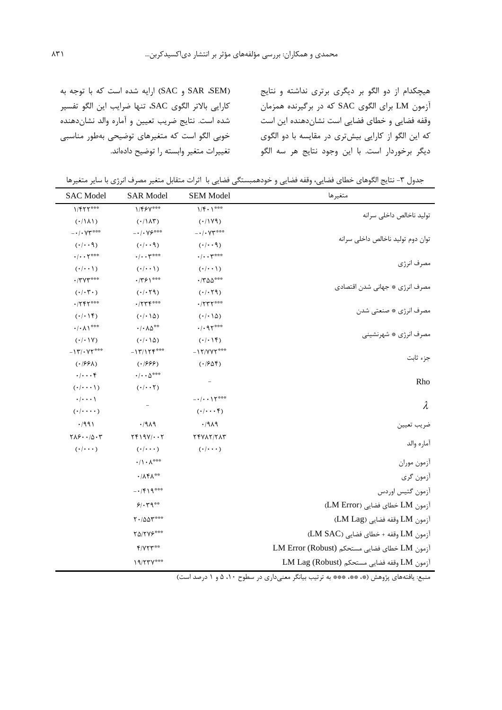هیچکدام از دو الگو بر ديگری برتری نداشته و نتايج آزمون LM برای الگوی SAC که در برگیرنده همزمان وقفه فضايی و خطای فضايی است نشاندهنده اين است که اين الگو از کارايی بیشتری در مقايسه با دو الگوی ديگر برخوردار است. با اين وجود نتايج هر سه الگو

)SEM، SAR و SAC )ارايه شده است که با توجه به کارايی باالتر الگوی SAC، تنها ضرايب اين الگو تفسیر شده است. نتايج ضريب تعیین و آماره والد نشاندهنده خوبی الگو است که متغیرهای توضیحی بهطور مناسبی تغییرات متغیر وابسته را توضیح دادهاند.

جدول ۳- نتايج الگوهای خطای فضايی، وقفه فضايی و خودهمبستگی فضايی با اثرات متقابل متغير مصرف انرژی با ساير متغيرها

| متغيرها                                      | <b>SEM Model</b>                            | <b>SAR Model</b>                                  | <b>SAC</b> Model                                    |
|----------------------------------------------|---------------------------------------------|---------------------------------------------------|-----------------------------------------------------|
|                                              | $1/f \cdot 1^{\ast \ast \ast}$              | 1/۴۶٧***                                          | $1/FTT***$                                          |
| توليد ناخالص داخلي سرانه                     | (111)                                       | $(1/\lambda \tau)$                                | $(\cdot/\Lambda\Lambda)$                            |
|                                              | $- \cdot / \cdot \mathsf{YT}^{***}$         | $- \cdot / \cdot \vee \mathfrak{S}^{***}$         | $- \cdot$ / • $\mathsf{Y}\mathsf{Y}^{***}$          |
| توان دوم تولید ناخالص داخلی سرانه            | $(\cdot/\cdot\cdot\mathcal{A})$             | $( \cdot   \cdot \cdot \mathcal{A})$              | $(\cdot/\cdot\cdot \mathcal{A})$                    |
|                                              | $\cdot/\cdot\cdot \mathsf{Y}^{***}$         | $\cdot/\cdot\cdot$ $\mathsf{Y}^{***}$             | $\cdot/\cdot\cdot$ $\uparrow$ ***                   |
| مصرف انرژى                                   | $(\cdot/\cdot\cdot)$                        | $(\cdot/\cdot\cdot)$                              | $(\cdot/\cdot\cdot)$                                |
|                                              | $\cdot$ /٣۵۵***                             | $\cdot$ /٣۶١***                                   | $\cdot$ /٣٧٣***                                     |
| مصرف انرژی ٭ جهانی شدن اقتصادی               | (·/·79)                                     | (·/·79)                                           | $(\cdot/\cdot \mathsf{r} \cdot)$                    |
|                                              | $\cdot$ /۲۳۲***                             | $\cdot$ /۲۳۴***                                   | $.755***$                                           |
| مصرف انرژى * صنعتى شدن                       | $(\cdot/\cdot\,)\Delta$                     | $(·/·)$ $\Delta$ )                                | $( \cdot   \cdot   \mathfrak{f})$                   |
|                                              | $.4.91***$                                  | $\cdot$ / $\cdot$ $\wedge$ $\upDelta$ $\!^{**}$   | $\cdot/\cdot$ $\wedge$ $\rangle$ $\text{***}$       |
| مصرف انرژى * شهرنشيني                        | (·)·                                        | $(·/·)$ $\Delta$ )                                | $(\cdot/\cdot\,)\mathsf{Y})$                        |
|                                              | $-17/YY$                                    | $-17/175***$                                      | $-11^{\circ}$ / $\gamma$                            |
| جزء ثابت                                     | $( \cdot   \mathcal{F} \Delta \mathcal{F})$ | $( \cdot   888)$                                  | $( \cdot   55\lambda)$                              |
|                                              |                                             | $\cdot$ / $\cdot$ $\, \Delta^{\circ \circ \circ}$ | $\cdot/\cdot\cdot\cdot$ ۴                           |
| Rho                                          | $\overline{\phantom{a}}$                    | $(\cdot/\cdot\cdot\mathsf{Y})$                    | $(\cdot/\cdot\cdot\cdot)$                           |
| $\lambda$                                    | $-\cdot/\cdot\cdot$ \ \ \ ***               |                                                   | $\cdot/\cdot\cdot\cdot$                             |
|                                              | $(\cdot/\cdot\cdot\cdot)^{\mathfrak{c}}$    |                                                   | $(\cdot/\cdot\cdot\cdot)$                           |
| ضريب تعيين                                   | .711                                        | .7919                                             | $\cdot$ /991                                        |
|                                              | TFVAT/TAT                                   | $YF19Y/\cdot\cdot Y$                              | $Y \wedge \mathcal{S} \cdot \cdot / \Delta \cdot Y$ |
| اماره والد                                   | $(\cdot/\cdot\cdot\cdot)$                   | $(\cdot/\cdot\cdot\cdot)$                         | $(\cdot/\cdot\cdot\cdot)$                           |
| آزمون موران                                  |                                             | $\cdot/\rangle \cdot \wedge^{\ast\ast\ast}$       |                                                     |
| أزمون گري                                    |                                             | $\cdot/\Lambda f \Lambda^{**}$                    |                                                     |
| آزمون گتيس اوردس                             |                                             | $-1519$                                           |                                                     |
| آزمون LM خطاي فضايي (LM Error)               |                                             | 9.49                                              |                                                     |
| آزمون LM وقفه فضايي (LM Lag)                 |                                             | $Y \cdot / \Delta \Delta Y$ ***                   |                                                     |
| آزمون LM وقفه + خطاي فضايي (LM SAC)          |                                             | $Y\Delta/YYP***$                                  |                                                     |
| آزمون LM خطاي فضايي مستحكم (LM Error (Robust |                                             | $f/VTT***$                                        |                                                     |
| آزمون LM وقفه فضايي مستحكم (Robust) LM Lag   |                                             | $19/77V***$                                       |                                                     |
|                                              |                                             |                                                   |                                                     |

-<br>منبع: يافتههای پژوهش (\*، \*\*، \*\*\* به ترتیب بیانگر معنیداری در سطوح ۰۱۰ ۵ و ۱ درصد است)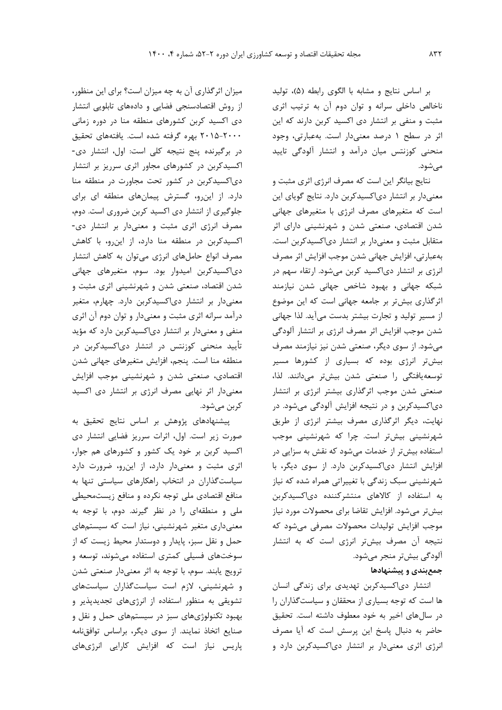بر اساس نتايج و مشابه با الگوی رابطه (۵)، توليد ناخالص داخلی سرانه و توان دوم آن به ترتیب اثری مثبت و منفی بر انتشار دی اکسید کربن دارند که اين اثر در سطح 1 درصد معنیدار است. بهعبارتی، وجود منحنی کوزنتس میان درآمد و انتشار آلودگی تايید مے شود.

نتايج بیانگر اين است که مصرف انرژی اثری مثبت و معنیدار بر انتشار دیاکسیدکربن دارد. نتايج گويای اين است که متغیرهای مصرف انرژی با متغیرهای جهانی شدن اقتصادی، صنعتی شدن و شهرنشینی دارای اثر متقابل مثبت و معنیدار بر انتشار دیاکسیدکربن است. بهعبارتی، افزايش جهانی شدن موجب افزايش اثر مصرف انرژی بر انتشار دیاکسید کربن میشود. ارتقاء سهم در شبکه جهانی و بهبود شاخص جهانی شدن نیازمند اثرگذاری بیشتر بر جامعه جهانی است که اين موضوع از مسیر تولید و تجارت بیشتر بدست میآيد. لذا جهانی شدن موجب افزايش اثر مصرف انرژی بر انتشار آلودگی میشود. از سوی ديگر، صنعتی شدن نیز نیازمند مصرف بیشتر انرژی بوده که بسیاری از کشورها مسیر توسعهيافتگی را صنعتی شدن بیشتر میدانند. لذا، صنعتی شدن موجب اثرگذاری بیشتر انرژی بر انتشار دیاکسیدکربن و در نتیجه افزايش آلودگی میشود. در نهايت، ديگر اثرگذاری مصرف بیشتر انرژی از طريق شهرنشینی بیشتر است. چرا که شهرنشینی موجب استفاده بیشتر از خدمات میشود که نقش به سزايی در افزايش انتشار دیاکسیدکربن دارد. از سوی ديگر، با شهرنشینی سبک زندگی با تغییراتی همراه شده که نیاز به استفاده از کاالهای منتشرکننده دیاکسیدکربن بیشتر میشود. افزايش تقاضا برای محصوالت مورد نیاز موجب افزايش تولیدات محصوالت مصرفی میشود که نتیجه آن مصرف بیشتر انرژی است که به انتشار آلودگی بیشتر منجر میشود.

# **جمعبندي و پيشنهادها**

انتشار دیاکسیدکربن تهديدی برای زندگی انسان ها است که توجه بسیاری از محققان و سیاستگذاران را در سالهای اخیر به خود معطوف داشته است. تحقیق حاضر به دنبال پاسخ اين پرسش است که آيا مصرف انرژی اثری معنیدار بر انتشار دیاکسیدکربن دارد و

میزان اثرگذاری آن به چه میزان است؟ برای اين منظور، از روش اقتصادسنجی فضايی و دادههای تابلويی انتشار دی اکسید کربن کشورهای منطقه منا در دوره زمانی 2015-2000 بهره گرفته شده است. يافتههای تحقیق در برگیرنده پنج نتیجه کلی است: اول، انتشار دی- اکسیدکربن در کشورهای مجاور اثری سرريز بر انتشار دیاکسیدکربن در کشور تحت مجاورت در منطقه منا دارد. از اينرو، گسترش پیمانهای منطقه ای برای جلوگیری از انتشار دی اکسید کربن ضروری است. دوم، مصرف انرژی اثری مثبت و معنیدار بر انتشار دی- اکسیدکربن در منطقه منا دارد، از اينرو، با کاهش مصرف انواع حاملهای انرژی میتوان به کاهش انتشار دیاکسیدکربن امیدوار بود. سوم، متغیرهای جهانی شدن اقتصاد، صنعتی شدن و شهرنشینی اثری مثبت و معنیدار بر انتشار دیاکسیدکربن دارد. چهارم، متغیر درآمد سرانه اثری مثبت و معنیدار و توان دوم آن اثری منفی و معنیدار بر انتشار دیاکسیدکربن دارد که مؤيد تأيید منحنی کوزنتس در انتشار دیاکسیدکربن در منطقه منا است. پنجم، افزايش متغیرهای جهانی شدن اقتصادی، صنعتی شدن و شهرنشینی موجب افزايش معنیدار اثر نهايی مصرف انرژی بر انتشار دی اکسید کربن میشود.

پیشنهادهای پژوهش بر اساس نتايج تحقیق به صورت زير است. اول، اثرات سرريز فضايی انتشار دی اکسید کربن بر خود يک کشور و کشورهای هم جوار، اثری مثبت و معنیدار دارد، از اينرو، ضرورت دارد سیاستگذاران در انتخاب راهکارهای سیاستی تنها به منافع اقتصادی ملی توجه نکرده و منافع زيستمحیطی ملی و منطقهای را در نظر گیرند. دوم، با توجه به معنیداری متغیر شهرنشینی، نیاز است که سیستمهای حمل و نقل سبز، پايدار و دوستدار محیط زيست که از سوختهای فسیلی کمتری استفاده میشوند، توسعه و ترويج يابند. سوم، با توجه به اثر معنیدار صنعتی شدن و شهرنشینی، الزم است سیاستگذاران سیاستهای تشويقی به منظور استفاده از انرژیهای تجديدپذير و بهبود تکنولوژیهای سبز در سیستمهای حمل و نقل و صنايع اتخاذ نمايند. از سوی ديگر، براساس توافقنامه پاريس نیاز است که افزايش کارايی انرژیهای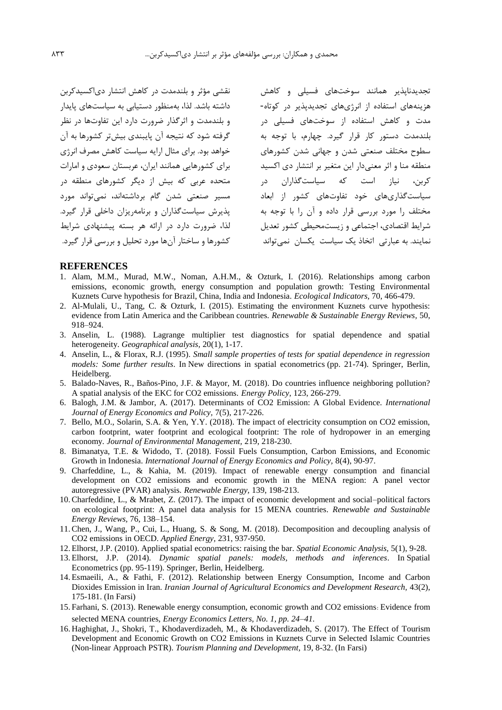نقشی مؤثر و بلندمدت در کاهش انتشار دیاکسیدکربن داشته باشد. لذا، بهمنظور دستیابی به سیاستهای پايدار و بلندمدت و اثرگذار ضرورت دارد اين تفاوتها در نظر گرفته شود که نتیجه آن پايبندی بیشتر کشورها به آن خواهد بود. برای مثال ارايه سیاست کاهش مصرف انرژی برای کشورهايی همانند ايران، عربستان سعودی و امارات متحده عربی که بیش از ديگر کشورهای منطقه در مسیر صنعتی شدن گام برداشتهاند، نمیتواند مورد پذيرش سیاستگذاران و برنامهريزان داخلی قرار گیرد. لذا، ضرورت دارد در ارائه هر بسته پیشنهادی شرايط کشورها و ساختار آنها مورد تحلیل و بررسی قرار گیرد.

تجديدناپذير همانند سوختهای فسیلی و کاهش هزينههای استفاده از انرژیهای تجديدپذير در کوتاه- مدت و کاهش استفاده از سوختهای فسیلی در بلندمدت دستور کار قرار گیرد. چهارم، با توجه به سطوح مختلف صنعتی شدن و جهانی شدن کشورهای منطقه منا و اثر معنیدار اين متغیر بر انتشار دی اکسید کربن، نیاز است که سیاستگذاران در سیاستگذاریهای خود تفاوتهای کشور از ابعاد مختلف را مورد بررسی قرار داده و آن را با توجه به شرايط اقتصادی، اجتماعی و زيستمحیطی کشور تعديل نمايند. به عبارتی اتخاذ يک سیاست يکسان نمیتواند

### **REFERENCES**

- 1. Alam, M.M., Murad, M.W., Noman, A.H.M., & Ozturk, I. (2016). Relationships among carbon emissions, economic growth, energy consumption and population growth: Testing Environmental Kuznets Curve hypothesis for Brazil, China, India and Indonesia. *Ecological Indicators,* 70, 466-479.
- 2. Al-Mulali, U., Tang, C. & Ozturk, I. (2015). Estimating the environment Kuznets curve hypothesis: evidence from Latin America and the Caribbean countries. *Renewable & Sustainable Energy Reviews,* 50, 918–924.
- 3. Anselin, L. (1988). Lagrange multiplier test diagnostics for spatial dependence and spatial heterogeneity. *Geographical analysis,* 20(1), 1-17.
- 4. Anselin, L., & Florax, R.J. (1995). *Small sample properties of tests for spatial dependence in regression models: Some further results*. In New directions in spatial econometrics (pp. 21-74). Springer, Berlin, Heidelberg.
- 5. Balado-Naves, R., Baños-Pino, J.F. & Mayor, M. (2018). Do countries influence neighboring pollution? A spatial analysis of the EKC for CO2 emissions. *Energy Policy,* 123, 266-279.
- 6. Balogh, J.M. & Jambor, A. (2017). Determinants of CO2 Emission: A Global Evidence. *International Journal of Energy Economics and Policy,* 7(5), 217-226.
- 7. Bello, M.O., Solarin, S.A. & Yen, Y.Y. (2018). The impact of electricity consumption on CO2 emission, carbon footprint, water footprint and ecological footprint: The role of hydropower in an emerging economy. *Journal of Environmental Management,* 219, 218-230.
- 8. Bimanatya, T.E. & Widodo, T. (2018). Fossil Fuels Consumption, Carbon Emissions, and Economic Growth in Indonesia. *International Journal of Energy Economics and Policy,* 8(4), 90-97.
- 9. Charfeddine, L., & Kahia, M. (2019). Impact of renewable energy consumption and financial development on CO2 emissions and economic growth in the MENA region: A panel vector autoregressive (PVAR) analysis. *Renewable Energy,* 139, 198-213.
- 10.Charfeddine, L., & Mrabet, Z. (2017). The impact of economic development and social–political factors on ecological footprint: A panel data analysis for 15 MENA countries. *Renewable and Sustainable Energy Reviews,* 76, 138–154.
- 11.Chen, J., Wang, P., Cui, L., Huang, S. & Song, M. (2018). Decomposition and decoupling analysis of CO2 emissions in OECD. *Applied Energy,* 231, 937-950.
- 12. Elhorst, J.P. (2010). Applied spatial econometrics: raising the bar. *Spatial Economic Analysis,* 5(1), 9-28.
- 13. Elhorst, J.P. (2014). *Dynamic spatial panels: models, methods and inferences*. In Spatial Econometrics (pp. 95-119). Springer, Berlin, Heidelberg.
- 14. Esmaeili, A., & Fathi, F. (2012). Relationship between Energy Consumption, Income and Carbon Dioxides Emission in Iran. *Iranian Journal of Agricultural Economics and Development Research,* 43(2), 175-181. (In Farsi)
- 15. Farhani, S. (2013). Renewable energy consumption, economic growth and CO2 emissions: Evidence from selected MENA countries, *Energy Economics Letters, No. 1, pp. 24–41.*
- 16. Haghighat, J., Shokri, T., Khodaverdizadeh, M., & Khodaverdizadeh, S. (2017). The Effect of Tourism Development and Economic Growth on CO2 Emissions in Kuznets Curve in Selected Islamic Countries (Non-linear Approach PSTR). *Tourism Planning and Development,* 19, 8-32. (In Farsi)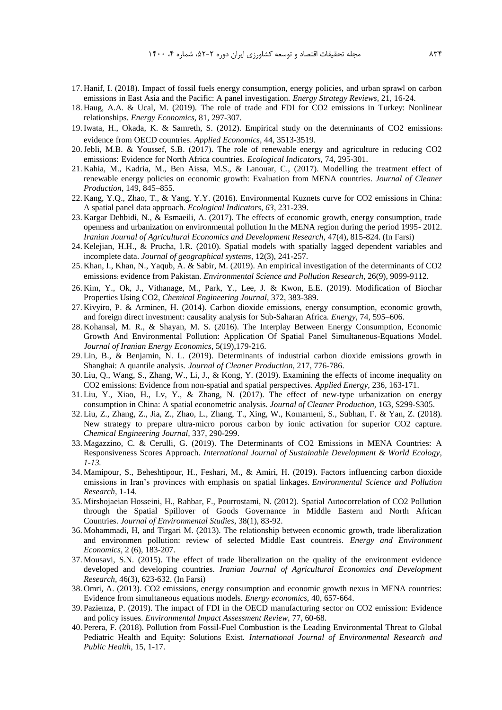- 17. Hanif, I. (2018). Impact of fossil fuels energy consumption, energy policies, and urban sprawl on carbon emissions in East Asia and the Pacific: A panel investigation. *Energy Strategy Reviews,* 21, 16-24.
- 18. Haug, A.A. & Ucal, M. (2019). The role of trade and FDI for CO2 emissions in Turkey: Nonlinear relationships. *Energy Economics,* 81, 297-307.
- 19.Iwata, H., Okada, K. & Samreth, S. (2012). Empirical study on the determinants of CO2 emissions: evidence from OECD countries. *Applied Economics,* 44, 3513-3519.
- 20.Jebli, M.B. & Youssef, S.B. (2017). The role of renewable energy and agriculture in reducing CO2 emissions: Evidence for North Africa countries. *Ecological Indicators,* 74, 295-301.
- 21. Kahia, M., Kadria, M., Ben Aissa, M.S., & Lanouar, C., (2017). Modelling the treatment effect of renewable energy policies on economic growth: Evaluation from MENA countries. *Journal of Cleaner Production,* 149, 845–855.
- 22. Kang, Y.Q., Zhao, T., & Yang, Y.Y. (2016). Environmental Kuznets curve for CO2 emissions in China: A spatial panel data approach. *Ecological Indicators*, *63*, 231-239.
- 23. Kargar Dehbidi, N., & Esmaeili, A. (2017). The effects of economic growth, energy consumption, trade openness and urbanization on environmental pollution In the MENA region during the period 1995- 2012. *Iranian Journal of Agricultural Economics and Development Research,* 47(4), 815-824. (In Farsi)
- 24. Kelejian, H.H., & Prucha, I.R. (2010). Spatial models with spatially lagged dependent variables and incomplete data. *Journal of geographical systems,* 12(3), 241-257.
- 25. Khan, I., Khan, N., Yaqub, A. & Sabir, M. (2019). An empirical investigation of the determinants of CO2 emissions: evidence from Pakistan. *Environmental Science and Pollution Research,* 26(9), 9099-9112.
- 26. Kim, Y., Ok, J., Vithanage, M., Park, Y., Lee, J. & Kwon, E.E. (2019). Modification of Biochar Properties Using CO2, *Chemical Engineering Journal,* 372, 383-389.
- 27. Kivyiro, P. & Arminen, H. (2014). Carbon dioxide emissions, energy consumption, economic growth, and foreign direct investment: causality analysis for Sub-Saharan Africa. *Energy,* 74, 595–606.
- 28. Kohansal, M. R., & Shayan, M. S. (2016). The Interplay Between Energy Consumption, Economic Growth And Environmental Pollution: Application Of Spatial Panel Simultaneous-Equations Model. *Journal of Iranian Energy Economics*, 5(19),179-216.
- 29. Lin, B., & Benjamin, N. L. (2019). Determinants of industrial carbon dioxide emissions growth in Shanghai: A quantile analysis. *Journal of Cleaner Production,* 217, 776-786.
- 30. Liu, Q., Wang, S., Zhang, W., Li, J., & Kong, Y. (2019). Examining the effects of income inequality on CO2 emissions: Evidence from non-spatial and spatial perspectives. *Applied Energy,* 236, 163-171.
- 31. Liu, Y., Xiao, H., Lv, Y., & Zhang, N. (2017). The effect of new-type urbanization on energy consumption in China: A spatial econometric analysis. *Journal of Cleaner Production,* 163, S299-S305.
- 32. Liu, Z., Zhang, Z., Jia, Z., Zhao, L., Zhang, T., Xing, W., Komarneni, S., Subhan, F. & Yan, Z. (2018). New strategy to prepare ultra-micro porous carbon by ionic activation for superior CO2 capture. *Chemical Engineering Journal,* 337, 290-299.
- 33. Magazzino, C. & Cerulli, G. (2019). The Determinants of CO2 Emissions in MENA Countries: A Responsiveness Scores Approach. *International Journal of Sustainable Development & World Ecology, 1-13.*
- 34. Mamipour, S., Beheshtipour, H., Feshari, M., & Amiri, H. (2019). Factors influencing carbon dioxide emissions in Iran's provinces with emphasis on spatial linkages. *Environmental Science and Pollution Research,* 1-14.
- 35. Mirshojaeian Hosseini, H., Rahbar, F., Pourrostami, N. (2012). Spatial Autocorrelation of CO2 Pollution through the Spatial Spillover of Goods Governance in Middle Eastern and North African Countries. *Journal of Environmental Studies*, 38(1), 83-92.
- 36. Mohammadi, H, and Tirgari M. (2013). The relationship between economic growth, trade liberalization and environmen pollution: review of selected Middle East countreis. *Energy and Environment Economics*, 2 (6), 183-207.
- 37. Mousavi, S.N. (2015). The effect of trade liberalization on the quality of the environment evidence developed and developing countries. *Iranian Journal of Agricultural Economics and Development Research,* 46(3), 623-632. (In Farsi)
- 38. Omri, A. (2013). CO2 emissions, energy consumption and economic growth nexus in MENA countries: Evidence from simultaneous equations models. *Energy economics,* 40, 657-664.
- 39. Pazienza, P. (2019). The impact of FDI in the OECD manufacturing sector on CO2 emission: Evidence and policy issues. *Environmental Impact Assessment Review,* 77, 60-68.
- 40. Perera, F. (2018). Pollution from Fossil-Fuel Combustion is the Leading Environmental Threat to Global Pediatric Health and Equity: Solutions Exist. *International Journal of Environmental Research and Public Health,* 15, 1-17.